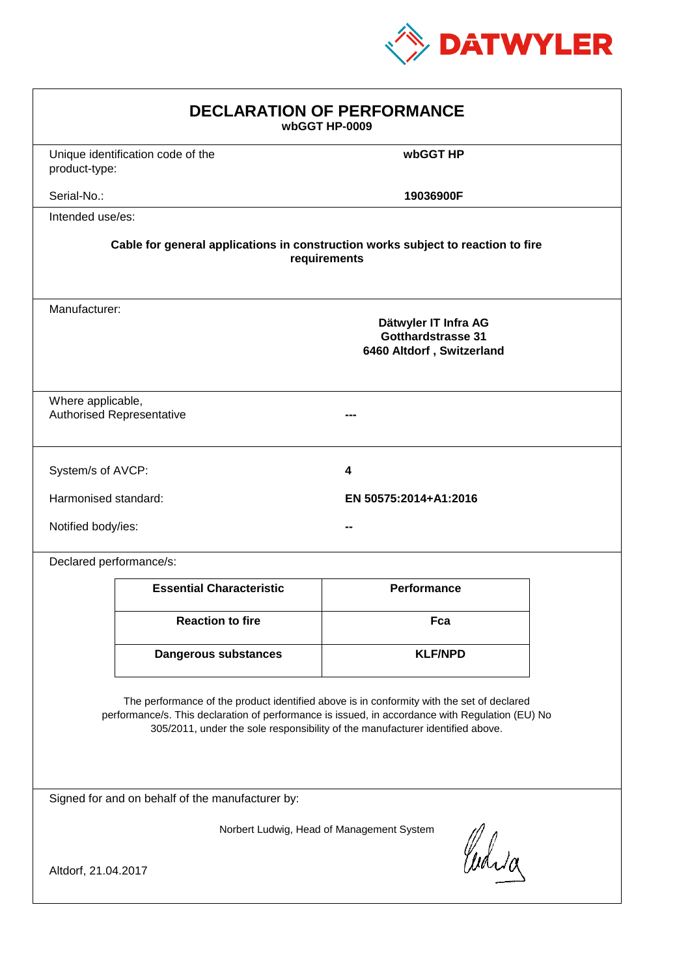

| <b>DECLARATION OF PERFORMANCE</b><br>wbGGT HP-0009                                                                                                                                                                                                                            |                                                                                          |                       |  |  |  |
|-------------------------------------------------------------------------------------------------------------------------------------------------------------------------------------------------------------------------------------------------------------------------------|------------------------------------------------------------------------------------------|-----------------------|--|--|--|
| product-type:                                                                                                                                                                                                                                                                 | Unique identification code of the                                                        | wbGGT HP              |  |  |  |
| Serial-No.:                                                                                                                                                                                                                                                                   |                                                                                          | 19036900F             |  |  |  |
| Intended use/es:                                                                                                                                                                                                                                                              |                                                                                          |                       |  |  |  |
| Cable for general applications in construction works subject to reaction to fire<br>requirements                                                                                                                                                                              |                                                                                          |                       |  |  |  |
|                                                                                                                                                                                                                                                                               | Manufacturer:<br>Dätwyler IT Infra AG<br>Gotthardstrasse 31<br>6460 Altdorf, Switzerland |                       |  |  |  |
|                                                                                                                                                                                                                                                                               | Where applicable,<br><b>Authorised Representative</b>                                    |                       |  |  |  |
| System/s of AVCP:                                                                                                                                                                                                                                                             |                                                                                          | 4                     |  |  |  |
| Harmonised standard:                                                                                                                                                                                                                                                          |                                                                                          | EN 50575:2014+A1:2016 |  |  |  |
| Notified body/ies:                                                                                                                                                                                                                                                            |                                                                                          |                       |  |  |  |
| Declared performance/s:                                                                                                                                                                                                                                                       |                                                                                          |                       |  |  |  |
|                                                                                                                                                                                                                                                                               | <b>Essential Characteristic</b>                                                          | <b>Performance</b>    |  |  |  |
|                                                                                                                                                                                                                                                                               | <b>Reaction to fire</b>                                                                  | Fca                   |  |  |  |
|                                                                                                                                                                                                                                                                               | <b>Dangerous substances</b>                                                              | <b>KLF/NPD</b>        |  |  |  |
| The performance of the product identified above is in conformity with the set of declared<br>performance/s. This declaration of performance is issued, in accordance with Regulation (EU) No<br>305/2011, under the sole responsibility of the manufacturer identified above. |                                                                                          |                       |  |  |  |
| Signed for and on behalf of the manufacturer by:                                                                                                                                                                                                                              |                                                                                          |                       |  |  |  |
| Norbert Ludwig, Head of Management System<br>Curia                                                                                                                                                                                                                            |                                                                                          |                       |  |  |  |
| Altdorf, 21.04.2017                                                                                                                                                                                                                                                           |                                                                                          |                       |  |  |  |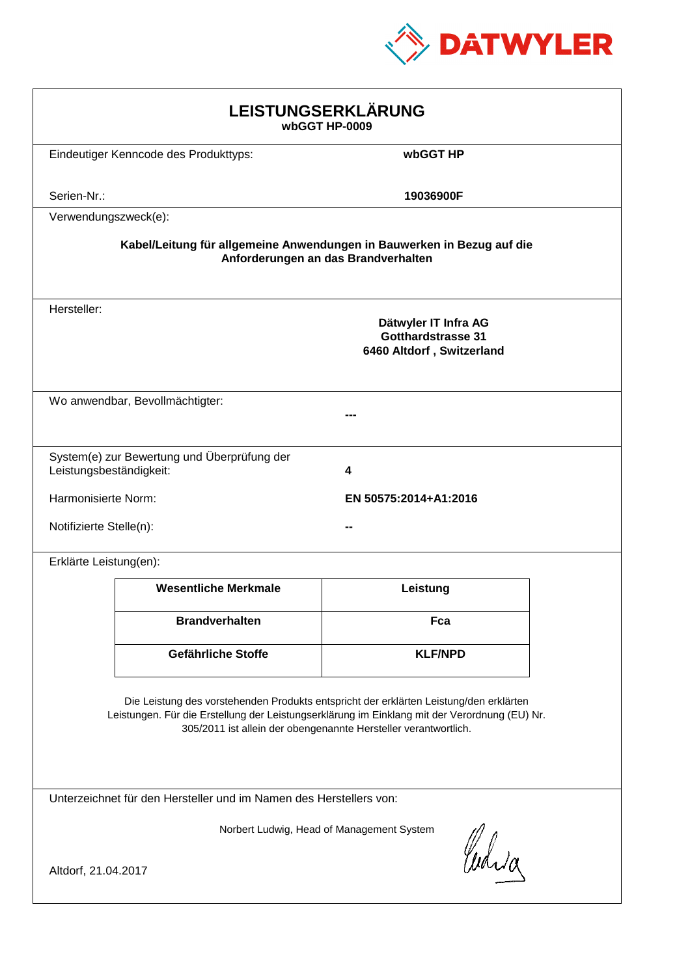

| LEISTUNGSERKLÄRUNG<br>wbGGT HP-0009                                                                                                                                                                                                                        |                                              |                                                                                |  |  |
|------------------------------------------------------------------------------------------------------------------------------------------------------------------------------------------------------------------------------------------------------------|----------------------------------------------|--------------------------------------------------------------------------------|--|--|
|                                                                                                                                                                                                                                                            | Eindeutiger Kenncode des Produkttyps:        | wbGGT HP                                                                       |  |  |
| Serien-Nr.:                                                                                                                                                                                                                                                |                                              | 19036900F                                                                      |  |  |
| Verwendungszweck(e):                                                                                                                                                                                                                                       |                                              |                                                                                |  |  |
| Kabel/Leitung für allgemeine Anwendungen in Bauwerken in Bezug auf die<br>Anforderungen an das Brandverhalten                                                                                                                                              |                                              |                                                                                |  |  |
| Hersteller:                                                                                                                                                                                                                                                |                                              | Dätwyler IT Infra AG<br><b>Gotthardstrasse 31</b><br>6460 Altdorf, Switzerland |  |  |
|                                                                                                                                                                                                                                                            | Wo anwendbar, Bevollmächtigter:              |                                                                                |  |  |
| Leistungsbeständigkeit:                                                                                                                                                                                                                                    | System(e) zur Bewertung und Überprüfung der  | 4                                                                              |  |  |
|                                                                                                                                                                                                                                                            | Harmonisierte Norm:<br>EN 50575:2014+A1:2016 |                                                                                |  |  |
|                                                                                                                                                                                                                                                            | Notifizierte Stelle(n):                      |                                                                                |  |  |
| Erklärte Leistung(en):                                                                                                                                                                                                                                     |                                              |                                                                                |  |  |
|                                                                                                                                                                                                                                                            | <b>Wesentliche Merkmale</b>                  | Leistung                                                                       |  |  |
|                                                                                                                                                                                                                                                            | <b>Brandverhalten</b>                        | Fca                                                                            |  |  |
|                                                                                                                                                                                                                                                            | Gefährliche Stoffe                           | <b>KLF/NPD</b>                                                                 |  |  |
| Die Leistung des vorstehenden Produkts entspricht der erklärten Leistung/den erklärten<br>Leistungen. Für die Erstellung der Leistungserklärung im Einklang mit der Verordnung (EU) Nr.<br>305/2011 ist allein der obengenannte Hersteller verantwortlich. |                                              |                                                                                |  |  |
| Unterzeichnet für den Hersteller und im Namen des Herstellers von:                                                                                                                                                                                         |                                              |                                                                                |  |  |
| Norbert Ludwig, Head of Management System<br>Curia                                                                                                                                                                                                         |                                              |                                                                                |  |  |
| Altdorf, 21.04.2017                                                                                                                                                                                                                                        |                                              |                                                                                |  |  |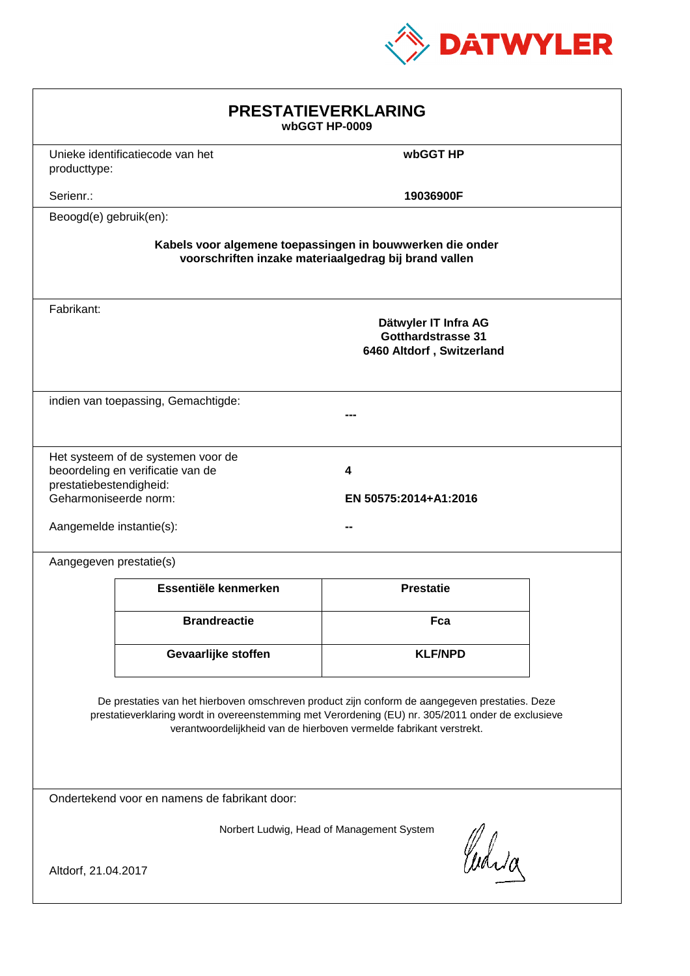

| <b>PRESTATIEVERKLARING</b><br>wbGGT HP-0009                                                                                                                                                                                                                                 |                                                                         |                                                                                |  |  |
|-----------------------------------------------------------------------------------------------------------------------------------------------------------------------------------------------------------------------------------------------------------------------------|-------------------------------------------------------------------------|--------------------------------------------------------------------------------|--|--|
| producttype:                                                                                                                                                                                                                                                                | Unieke identificatiecode van het                                        | wbGGT HP                                                                       |  |  |
| Serienr.:                                                                                                                                                                                                                                                                   |                                                                         | 19036900F                                                                      |  |  |
| Beoogd(e) gebruik(en):                                                                                                                                                                                                                                                      |                                                                         |                                                                                |  |  |
| Kabels voor algemene toepassingen in bouwwerken die onder<br>voorschriften inzake materiaalgedrag bij brand vallen                                                                                                                                                          |                                                                         |                                                                                |  |  |
| Fabrikant:                                                                                                                                                                                                                                                                  |                                                                         | Dätwyler IT Infra AG<br><b>Gotthardstrasse 31</b><br>6460 Altdorf, Switzerland |  |  |
|                                                                                                                                                                                                                                                                             | indien van toepassing, Gemachtigde:                                     |                                                                                |  |  |
| prestatiebestendigheid:<br>Geharmoniseerde norm:<br>Aangemelde instantie(s):                                                                                                                                                                                                | Het systeem of de systemen voor de<br>beoordeling en verificatie van de | 4<br>EN 50575:2014+A1:2016                                                     |  |  |
| Aangegeven prestatie(s)                                                                                                                                                                                                                                                     |                                                                         |                                                                                |  |  |
|                                                                                                                                                                                                                                                                             | Essentiële kenmerken                                                    | <b>Prestatie</b>                                                               |  |  |
|                                                                                                                                                                                                                                                                             | <b>Brandreactie</b>                                                     | Fca                                                                            |  |  |
|                                                                                                                                                                                                                                                                             | Gevaarlijke stoffen                                                     | <b>KLF/NPD</b>                                                                 |  |  |
| De prestaties van het hierboven omschreven product zijn conform de aangegeven prestaties. Deze<br>prestatieverklaring wordt in overeenstemming met Verordening (EU) nr. 305/2011 onder de exclusieve<br>verantwoordelijkheid van de hierboven vermelde fabrikant verstrekt. |                                                                         |                                                                                |  |  |
| Ondertekend voor en namens de fabrikant door:                                                                                                                                                                                                                               |                                                                         |                                                                                |  |  |
| Norbert Ludwig, Head of Management System<br>Curia<br>Altdorf, 21.04.2017                                                                                                                                                                                                   |                                                                         |                                                                                |  |  |
|                                                                                                                                                                                                                                                                             |                                                                         |                                                                                |  |  |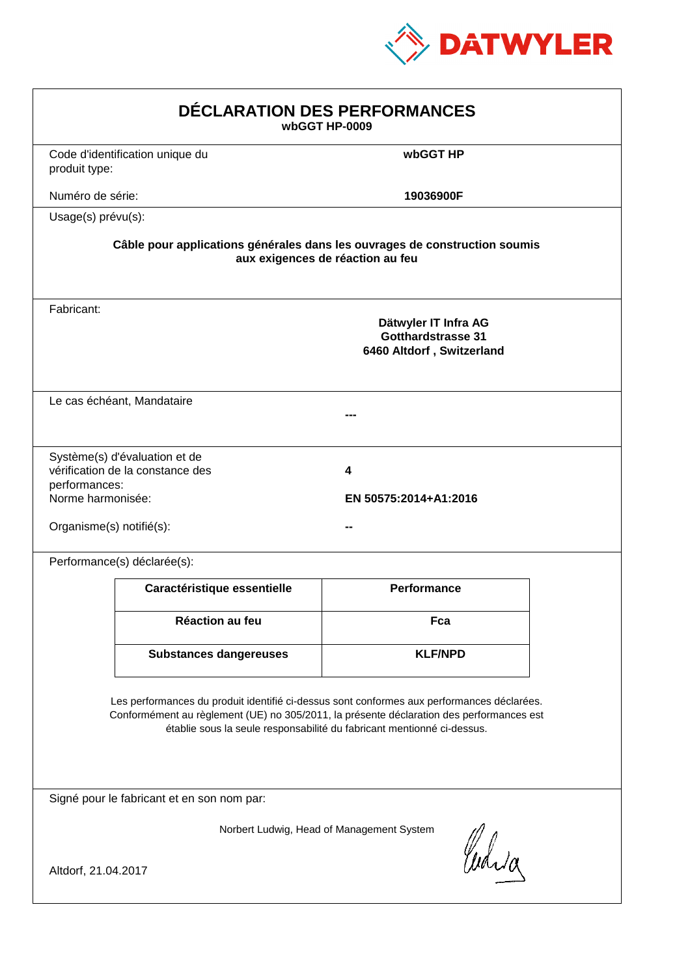

| DÉCLARATION DES PERFORMANCES<br>wbGGT HP-0009                                                                                                                                                                                                                    |                                                                                                                |                                                                                |  |  |  |
|------------------------------------------------------------------------------------------------------------------------------------------------------------------------------------------------------------------------------------------------------------------|----------------------------------------------------------------------------------------------------------------|--------------------------------------------------------------------------------|--|--|--|
| produit type:                                                                                                                                                                                                                                                    | Code d'identification unique du                                                                                | wbGGT HP                                                                       |  |  |  |
| Numéro de série:                                                                                                                                                                                                                                                 |                                                                                                                | 19036900F                                                                      |  |  |  |
| Usage(s) prévu(s):                                                                                                                                                                                                                                               |                                                                                                                |                                                                                |  |  |  |
|                                                                                                                                                                                                                                                                  | Câble pour applications générales dans les ouvrages de construction soumis<br>aux exigences de réaction au feu |                                                                                |  |  |  |
| Fabricant:                                                                                                                                                                                                                                                       |                                                                                                                | Dätwyler IT Infra AG<br><b>Gotthardstrasse 31</b><br>6460 Altdorf, Switzerland |  |  |  |
|                                                                                                                                                                                                                                                                  | Le cas échéant, Mandataire                                                                                     |                                                                                |  |  |  |
| performances:<br>Norme harmonisée:<br>Organisme(s) notifié(s):                                                                                                                                                                                                   | Système(s) d'évaluation et de<br>vérification de la constance des                                              | 4<br>EN 50575:2014+A1:2016                                                     |  |  |  |
|                                                                                                                                                                                                                                                                  | Performance(s) déclarée(s):                                                                                    |                                                                                |  |  |  |
|                                                                                                                                                                                                                                                                  | Caractéristique essentielle                                                                                    | <b>Performance</b>                                                             |  |  |  |
|                                                                                                                                                                                                                                                                  | Réaction au feu                                                                                                | Fca                                                                            |  |  |  |
|                                                                                                                                                                                                                                                                  | <b>Substances dangereuses</b>                                                                                  | <b>KLF/NPD</b>                                                                 |  |  |  |
| Les performances du produit identifié ci-dessus sont conformes aux performances déclarées.<br>Conformément au règlement (UE) no 305/2011, la présente déclaration des performances est<br>établie sous la seule responsabilité du fabricant mentionné ci-dessus. |                                                                                                                |                                                                                |  |  |  |
| Signé pour le fabricant et en son nom par:                                                                                                                                                                                                                       |                                                                                                                |                                                                                |  |  |  |
| Norbert Ludwig, Head of Management System<br>Curia<br>Altdorf, 21.04.2017                                                                                                                                                                                        |                                                                                                                |                                                                                |  |  |  |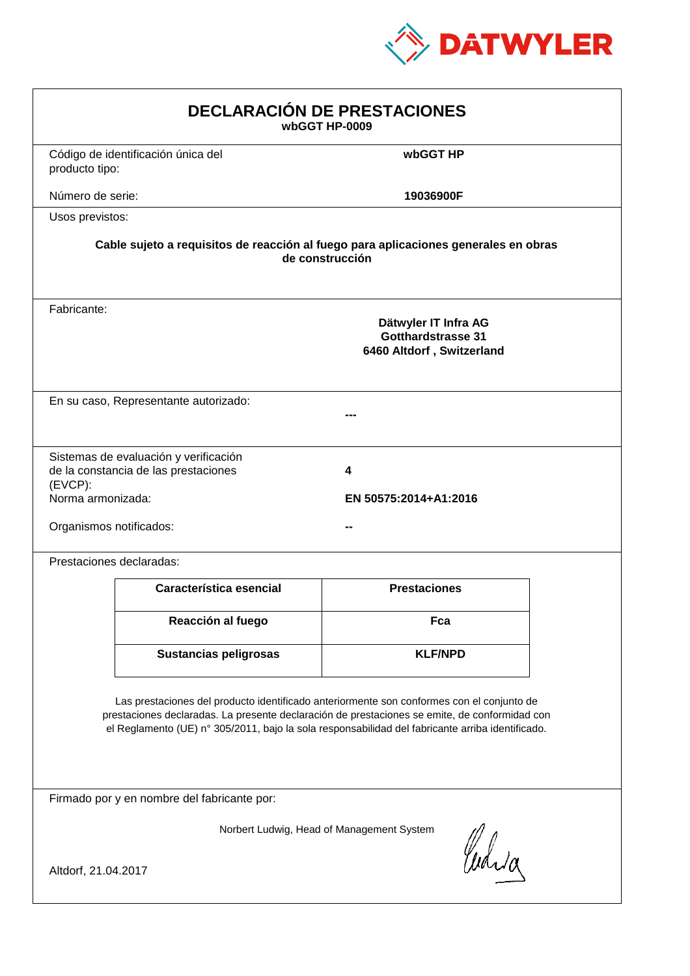

| <b>DECLARACIÓN DE PRESTACIONES</b><br>wbGGT HP-0009                                                                                                                                                                                                                                            |                                                                                                        |                     |  |  |  |
|------------------------------------------------------------------------------------------------------------------------------------------------------------------------------------------------------------------------------------------------------------------------------------------------|--------------------------------------------------------------------------------------------------------|---------------------|--|--|--|
| producto tipo:                                                                                                                                                                                                                                                                                 | Código de identificación única del                                                                     | wbGGT HP            |  |  |  |
| Número de serie:                                                                                                                                                                                                                                                                               |                                                                                                        | 19036900F           |  |  |  |
| Usos previstos:                                                                                                                                                                                                                                                                                |                                                                                                        |                     |  |  |  |
|                                                                                                                                                                                                                                                                                                | Cable sujeto a requisitos de reacción al fuego para aplicaciones generales en obras<br>de construcción |                     |  |  |  |
| Fabricante:                                                                                                                                                                                                                                                                                    | Dätwyler IT Infra AG<br>Gotthardstrasse 31<br>6460 Altdorf, Switzerland                                |                     |  |  |  |
|                                                                                                                                                                                                                                                                                                | En su caso, Representante autorizado:                                                                  |                     |  |  |  |
| Sistemas de evaluación y verificación<br>de la constancia de las prestaciones<br>4<br>$(EVCP)$ :<br>Norma armonizada:<br>EN 50575:2014+A1:2016<br>Organismos notificados:                                                                                                                      |                                                                                                        |                     |  |  |  |
|                                                                                                                                                                                                                                                                                                | Prestaciones declaradas:                                                                               |                     |  |  |  |
|                                                                                                                                                                                                                                                                                                | Característica esencial                                                                                | <b>Prestaciones</b> |  |  |  |
|                                                                                                                                                                                                                                                                                                | Reacción al fuego                                                                                      | Fca                 |  |  |  |
|                                                                                                                                                                                                                                                                                                | <b>Sustancias peligrosas</b>                                                                           | <b>KLF/NPD</b>      |  |  |  |
| Las prestaciones del producto identificado anteriormente son conformes con el conjunto de<br>prestaciones declaradas. La presente declaración de prestaciones se emite, de conformidad con<br>el Reglamento (UE) nº 305/2011, bajo la sola responsabilidad del fabricante arriba identificado. |                                                                                                        |                     |  |  |  |
| Firmado por y en nombre del fabricante por:                                                                                                                                                                                                                                                    |                                                                                                        |                     |  |  |  |
| Norbert Ludwig, Head of Management System<br>anda<br>Altdorf, 21.04.2017                                                                                                                                                                                                                       |                                                                                                        |                     |  |  |  |